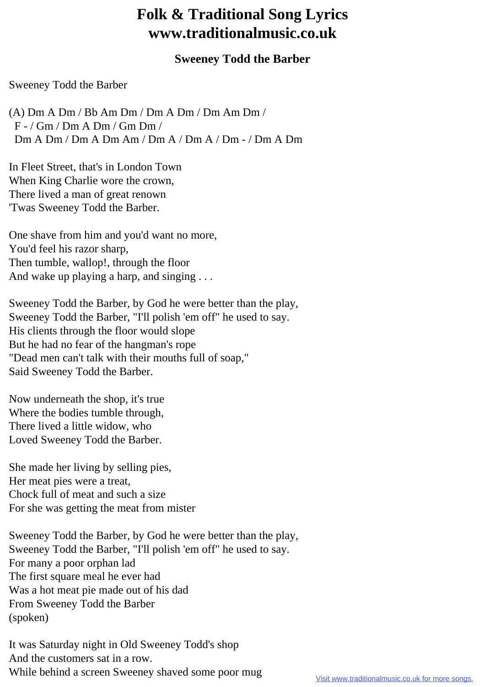## **Folk & Traditional Song Lyrics www.traditionalmusic.co.uk**

## **Sweeney Todd the Barber**

## Sweeney Todd the Barber

(A) Dm A Dm / Bb Am Dm / Dm A Dm / Dm Am Dm / F - / Gm / Dm A Dm / Gm Dm / Dm A Dm / Dm A Dm Am / Dm A / Dm A / Dm - / Dm A Dm

In Fleet Street, that's in London Town When King Charlie wore the crown, There lived a man of great renown 'Twas Sweeney Todd the Barber.

One shave from him and you'd want no more, You'd feel his razor sharp, Then tumble, wallop!, through the floor And wake up playing a harp, and singing ...

Sweeney Todd the Barber, by God he were better than the play, Sweeney Todd the Barber, "I'll polish 'em off" he used to say. His clients through the floor would slope But he had no fear of the hangman's rope "Dead men can't talk with their mouths full of soap," Said Sweeney Todd the Barber.

Now underneath the shop, it's true Where the bodies tumble through, There lived a little widow, who Loved Sweeney Todd the Barber.

She made her living by selling pies, Her meat pies were a treat, Chock full of meat and such a size For she was getting the meat from mister

Sweeney Todd the Barber, by God he were better than the play, Sweeney Todd the Barber, "I'll polish 'em off" he used to say. For many a poor orphan lad The first square meal he ever had Was a hot meat pie made out of his dad From Sweeney Todd the Barber (spoken)

It was Saturday night in Old Sweeney Todd's shop And the customers sat in a row. While behind a screen Sweeney shaved some poor mug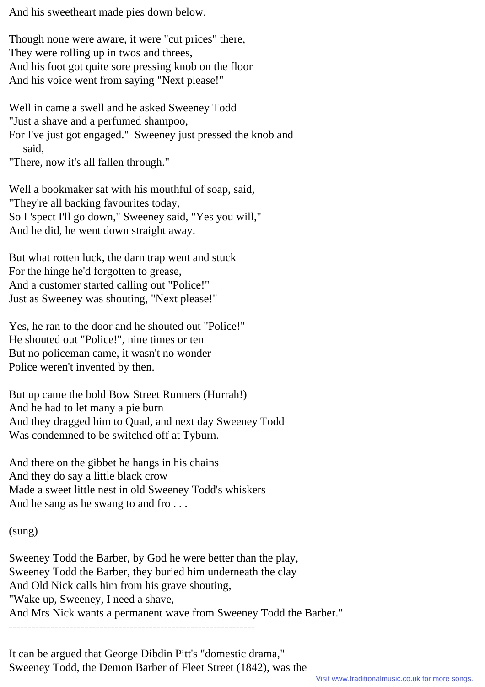And his sweetheart made pies down below.

Though none were aware, it were "cut prices" there, They were rolling up in twos and threes, And his foot got quite sore pressing knob on the floor And his voice went from saying "Next please!"

Well in came a swell and he asked Sweeney Todd "Just a shave and a perfumed shampoo,

For I've just got engaged." Sweeney just pressed the knob and said,

"There, now it's all fallen through."

Well a bookmaker sat with his mouthful of soap, said, "They're all backing favourites today, So I 'spect I'll go down," Sweeney said, "Yes you will," And he did, he went down straight away.

But what rotten luck, the darn trap went and stuck For the hinge he'd forgotten to grease, And a customer started calling out "Police!" Just as Sweeney was shouting, "Next please!"

Yes, he ran to the door and he shouted out "Police!" He shouted out "Police!", nine times or ten But no policeman came, it wasn't no wonder Police weren't invented by then.

But up came the bold Bow Street Runners (Hurrah!) And he had to let many a pie burn And they dragged him to Quad, and next day Sweeney Todd Was condemned to be switched off at Tyburn.

And there on the gibbet he hangs in his chains And they do say a little black crow Made a sweet little nest in old Sweeney Todd's whiskers And he sang as he swang to and fro...

(sung)

Sweeney Todd the Barber, by God he were better than the play, Sweeney Todd the Barber, they buried him underneath the clay And Old Nick calls him from his grave shouting, "Wake up, Sweeney, I need a shave, And Mrs Nick wants a permanent wave from Sweeney Todd the Barber." -----------------------------------------------------------------

It can be argued that George Dibdin Pitt's "domestic drama," Sweeney Todd, the Demon Barber of Fleet Street (1842), was the